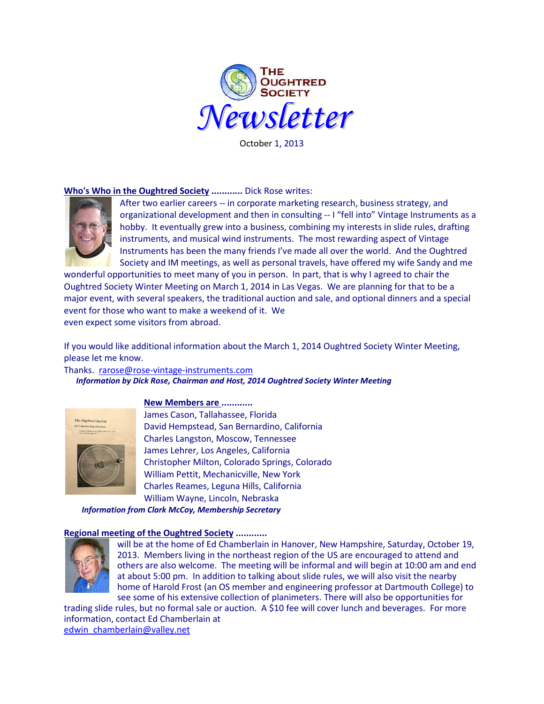

October 1, 2013

### **Who's Who in the Oughtred Society ............** Dick Rose writes:



After two earlier careers -- in corporate marketing research, business strategy, and organizational development and then in consulting -- I "fell into" Vintage Instruments as a hobby. It eventually grew into a business, combining my interests in slide rules, drafting instruments, and musical wind instruments. The most rewarding aspect of Vintage Instruments has been the many friends I've made all over the world. And the Oughtred Society and IM meetings, as well as personal travels, have offered my wife Sandy and me

wonderful opportunities to meet many of you in person. In part, that is why I agreed to chair the Oughtred Society Winter Meeting on March 1, 2014 in Las Vegas. We are planning for that to be a major event, with several speakers, the traditional auction and sale, and optional dinners and a special event for those who want to make a weekend of it. We even expect some visitors from abroad.

If you would like additional information about the March 1, 2014 Oughtred Society Winter Meeting, please let me know.

Thanks. [rarose@rose-vintage-instruments.com](mailto:rarose@rose-vintage-instruments.com)  *Information by Dick Rose, Chairman and Host, 2014 Oughtred Society Winter Meeting* 



**New Members are ............**

James Cason, Tallahassee, Florida David Hempstead, San Bernardino, California Charles Langston, Moscow, Tennessee James Lehrer, Los Angeles, California Christopher Milton, Colorado Springs, Colorado William Pettit, Mechanicville, New York Charles Reames, Leguna Hills, California William Wayne, Lincoln, Nebraska

*Information from Clark McCoy, Membership Secretary*

### **Regional meeting of the Oughtred Society ............**



will be at the home of Ed Chamberlain in Hanover, New Hampshire, Saturday, October 19, 2013. Members living in the northeast region of the US are encouraged to attend and others are also welcome. The meeting will be informal and will begin at 10:00 am and end at about 5:00 pm. In addition to talking about slide rules, we will also visit the nearby home of Harold Frost (an OS member and engineering professor at Dartmouth College) to see some of his extensive collection of planimeters. There will also be opportunities for

trading slide rules, but no formal sale or auction. A \$10 fee will cover lunch and beverages. For more information, contact Ed Chamberlain at [edwin\\_chamberlain@valley.net](mailto:edwin_chamberlain@valley.net)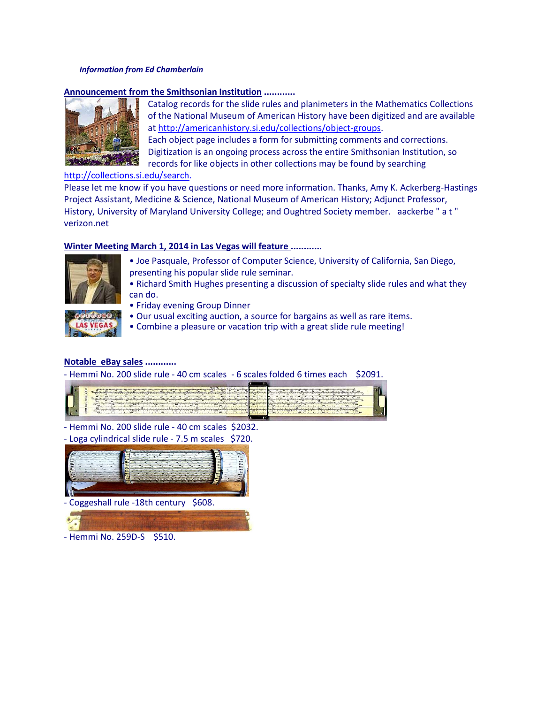#### *Information from Ed Chamberlain*

## **Announcement from the Smithsonian Institution ............**



Catalog records for the slide rules and planimeters in the Mathematics Collections of the National Museum of American History have been digitized and are available at [http://americanhistory.si.edu/collections/object-groups.](http://americanhistory.si.edu/collections/object-groups)

Each object page includes a form for submitting comments and corrections. Digitization is an ongoing process across the entire Smithsonian Institution, so records for like objects in other collections may be found by searching

# [http://collections.si.edu/search.](http://collections.si.edu/search)

Please let me know if you have questions or need more information. Thanks, Amy K. Ackerberg-Hastings Project Assistant, Medicine & Science, National Museum of American History; Adjunct Professor, History, University of Maryland University College; and Oughtred Society member. aackerbe " a t " verizon.net

### **Winter Meeting March 1, 2014 in Las Vegas will feature ............**



- Joe Pasquale, Professor of Computer Science, University of California, San Diego, presenting his popular slide rule seminar.
- Richard Smith Hughes presenting a discussion of specialty slide rules and what they can do.
- Friday evening Group Dinner
- Our usual exciting auction, a source for bargains as well as rare items.
- Combine a pleasure or vacation trip with a great slide rule meeting!

# **Notable eBay sales ............**

- Hemmi No. 200 slide rule - 40 cm scales - 6 scales folded 6 times each \$2091.



- Hemmi No. 200 slide rule - 40 cm scales \$2032.

- Loga cylindrical slide rule - 7.5 m scales \$720.



- Coggeshall rule -18th century \$608.



- Hemmi No. 259D-S \$510.